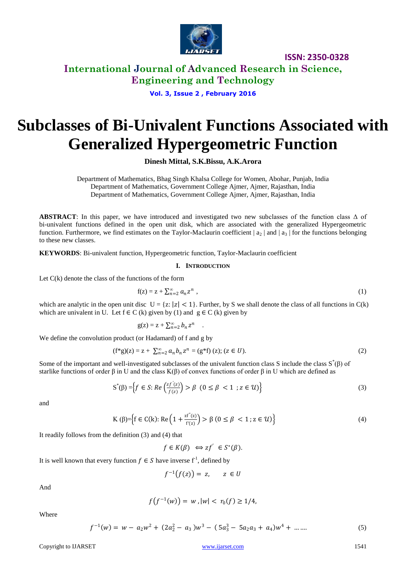

**International Journal of Advanced Research in Science, Engineering and Technology**

**Vol. 3, Issue 2 , February 2016**

# **Subclasses of Bi-Univalent Functions Associated with Generalized Hypergeometric Function**

**Dinesh Mittal, S.K.Bissu, A.K.Arora**

Department of Mathematics, Bhag Singh Khalsa College for Women, Abohar, Punjab, India Department of Mathematics, Government College Ajmer, Ajmer, Rajasthan, India Department of Mathematics, Government College Ajmer, Ajmer, Rajasthan, India

**ABSTRACT**: In this paper, we have introduced and investigated two new subclasses of the function class Δ of bi-univalent functions defined in the open unit disk, which are associated with the generalized Hypergeometric function. Furthermore, we find estimates on the Taylor-Maclaurin coefficient  $|a_2|$  and  $|a_3|$  for the functions belonging to these new classes.

**KEYWORDS**: Bi-univalent function, Hypergeometric function, Taylor-Maclaurin coefficient

#### **I. INTRODUCTION**

Let  $C(k)$  denote the class of the functions of the form

$$
f(z) = z + \sum_{n=2}^{\infty} a_n z^n , \qquad (1)
$$

which are analytic in the open unit disc  $U = \{z: |z| < 1\}$ . Further, by S we shall denote the class of all functions in  $C(k)$ which are univalent in U. Let  $f \in C(k)$  given by (1) and  $g \in C(k)$  given by

$$
g(z) = z + \sum_{n=2}^{\infty} b_n z^n .
$$

We define the convolution product (or Hadamard) of f and g by

$$
(f^*g)(z) = z + \sum_{n=2}^{\infty} a_n b_n z^n = (g^*f)(z); (z \in U).
$$
 (2)

Some of the important and well-investigated subclasses of the univalent function class S include the class  $S^*(\beta)$  of starlike functions of order  $\beta$  in U and the class K( $\beta$ ) of convex functions of order  $\beta$  in U which are defined as

$$
S^*(\beta) = \left\{ f \in S : Re\left(\frac{zf'(z)}{f(z)}\right) > \beta \ (0 \le \beta < 1 \ ; z \in \mathcal{U}) \right\} \tag{3}
$$

and

$$
K(\beta) = \left\{ f \in C(k) : Re\left(1 + \frac{zf^{(r)}(z)}{f'(z)}\right) > \beta \ (0 \le \beta < 1 \ ; z \in \mathcal{U}) \right\} \tag{4}
$$

It readily follows from the definition (3) and (4) that

$$
f \in K(\beta) \iff zf' \in S^*(\beta).
$$

It is well known that every function  $f \in S$  have inverse  $f<sup>1</sup>$ , defined by

$$
f^{-1}(f(z)) = z, \qquad z \in U
$$

And

$$
f(f^{-1}(w)) = w, |w| < r_0(f) \ge 1/4,
$$

Where

$$
f^{-1}(w) = w - a_2 w^2 + (2a_2^2 - a_3)w^3 - (5a_3^3 - 5a_2a_3 + a_4)w^4 + \dots
$$
 (5)

Copyright to IJARSET [www.ijarset.com](http://www.ijarset.com/) 21541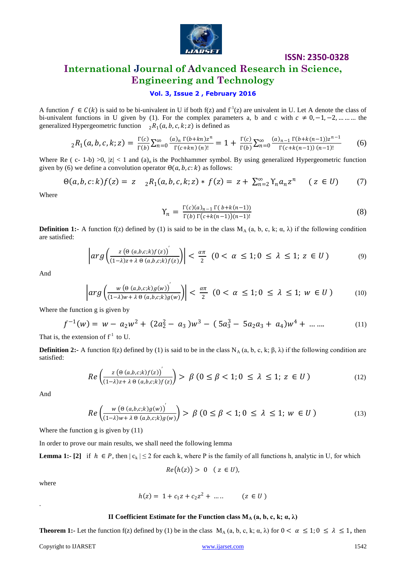

# **International Journal of Advanced Research in Science, Engineering and Technology**

#### **Vol. 3, Issue 2 , February 2016**

A function  $f \in C(k)$  is said to be bi-univalent in U if both f(z) and  $f^{-1}(z)$  are univalent in U. Let A denote the class of bi-univalent functions in U given by (1). For the complex parameters a, b and c with  $c \ne 0, -1, -2, ...$  … the generalized Hypergeometric function  ${}_{2}R_{1}(a, b, c, k; z)$  is defined as

$$
{}_{2}R_{1}(a,b,c,k;z) = \frac{\Gamma(c)}{\Gamma(b)} \sum_{n=0}^{\infty} \frac{(a)_{n} \Gamma(b+kn)z^{n}}{\Gamma(c+kn) (n)!} = 1 + \frac{\Gamma(c)}{\Gamma(b)} \sum_{n=0}^{\infty} \frac{(a)_{n-1} \Gamma(b+k(n-1))z^{n-1}}{\Gamma(c+k(n-1)) (n-1)!}
$$
(6)

Where Re ( c- 1-b) >0,  $|z|$  < 1 and (a)<sub>n</sub> is the Pochhammer symbol. By using generalized Hypergeometric function given by (6) we define a convolution operator  $\Theta(a, b, c; k)$  as follows:

$$
\Theta(a, b, c; k) f(z) = z \t_2 R_1(a, b, c, k; z) * f(z) = z + \sum_{n=2}^{\infty} Y_n a_n z^n \t (z \in U) \t (7)
$$

Where

$$
\Upsilon_n = \frac{\Gamma(c)(a)_{n-1} \Gamma(b+k(n-1))}{\Gamma(b) \Gamma(c+k(n-1))(n-1)!}
$$
\n(8)

**Definition 1:-** A function f(z) defined by (1) is said to be in the class  $M_A$  (a, b, c, k;  $\alpha$ ,  $\lambda$ ) if the following condition are satisfied:

$$
\left| arg \left( \frac{z \left( \Theta \left( a,b,c;k \right) f(z) \right)}{(1-\lambda)z + \lambda \Theta \left( a,b,c;k \right) f(z)} \right) \right| < \frac{a\pi}{2} \left( 0 < \alpha \le 1; 0 \le \lambda \le 1; z \in U \right) \tag{9}
$$

And

$$
\left| arg \left( \frac{w \left( \Theta \left( a,b,c;k \right)g(w) \right)}{(1-\lambda)w + \lambda \Theta \left( a,b,c;k \right)g(w)} \right) \right| < \frac{\alpha \pi}{2} \left( 0 < \alpha \le 1; 0 \le \lambda \le 1; w \in U \right) \tag{10}
$$

Where the function g is given by

$$
f^{-1}(w) = w - a_2 w^2 + (2a_2^2 - a_3)w^3 - (5a_3^3 - 5a_2 a_3 + a_4)w^4 + \dots \dots \tag{11}
$$

That is, the extension of  $f<sup>-1</sup>$  to U.

**Definition 2:-** A function f(z) defined by (1) is said to be in the class  $N_A$  (a, b, c, k;  $\beta$ ,  $\lambda$ ) if the following condition are satisfied:

$$
Re\left(\frac{z\left(\Theta\left(a,b,c;k\right)f(z)\right)^{'}}{(1-\lambda)z+\lambda\Theta\left(a,b,c;k\right)f(z)}\right) > \beta\left(0 \leq \beta < 1; 0 \leq \lambda \leq 1; z \in U\right) \tag{12}
$$

And

$$
Re\left(\frac{w\left(\Theta\left(a,b,c;k\right)g(w)\right)^{'}}{(1-\lambda)w+\lambda\Theta\left(a,b,c;k\right)g(w)}\right) > \beta\left(0 \leq \beta < 1; 0 \leq \lambda \leq 1; w \in U\right) \tag{13}
$$

Where the function g is given by (11)

In order to prove our main results, we shall need the following lemma

**Lemma 1:-** [2] if  $h \in P$ , then  $|c_k| \le 2$  for each k, where P is the family of all functions h, analytic in U, for which

$$
Re(h(z)) > 0 \quad (z \in U),
$$

where

.

$$
h(z) = 1 + c_1 z + c_2 z^2 + \dots \qquad (z \in U)
$$

#### **II Coefficient Estimate for the Function class M<sup>A</sup> (a, b, c, k; α, λ)**

**Theorem 1:-** Let the function f(z) defined by (1) be in the class  $M_A(a, b, c, k; \alpha, \lambda)$  for  $0 < \alpha \le 1; 0 \le \lambda \le 1$ , then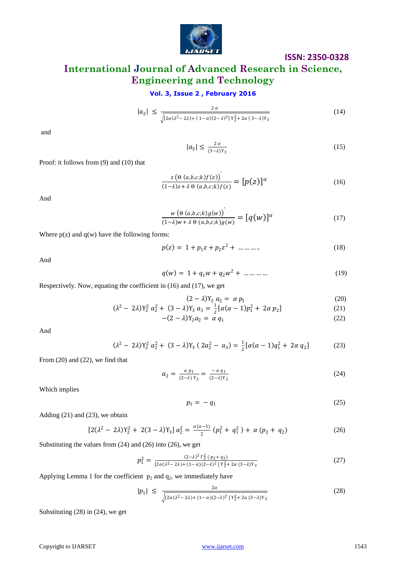

# **International Journal of Advanced Research in Science, Engineering and Technology**

### **Vol. 3, Issue 2 , February 2016**

$$
|a_2| \le \frac{2\alpha}{\sqrt{[2\alpha(\lambda^2 - 2\lambda) + (1 - \alpha)(2 - \lambda)^2] \gamma_2^2 + 2\alpha (3 - \lambda)\gamma_3}}
$$
(14)

and

$$
|a_3| \le \frac{2\alpha}{(3-\lambda)\gamma_3} \tag{15}
$$

Proof: it follows from (9) and (10) that

$$
\frac{z\left(\Theta\left(a,b,c;k\right)f(z)\right)^{'}}{(1-\lambda)z+\lambda\Theta\left(a,b,c;k\right)f(z)} = [p(z)]^{\alpha}
$$
\n(16)

And

$$
\frac{w\left(\Theta\left(a,b,c;k\right)g(w)\right)^{'}}{(1-\lambda)w+\lambda\Theta\left(a,b,c;k\right)g(w)} = [q(w)]^{\alpha}
$$
\n(17)

Where  $p(z)$  and  $q(w)$  have the following forms:

$$
p(z) = 1 + p_1 z + p_2 z^2 + \dots + \dots
$$
 (18)

And

$$
q(w) = 1 + q_1 w + q_2 w^2 + \dots + \dots
$$
 (19)

Respectively. Now, equating the coefficient in (16) and (17), we get

$$
(2 - \lambda)Y_2 a_2 = \alpha p_1
$$
 (20)

$$
(\lambda^2 - 2\lambda)Y_2^2 a_2^2 + (3 - \lambda)Y_3 a_3 = \frac{1}{2} [\alpha(\alpha - 1)p_1^2 + 2\alpha p_2]
$$
  
-(2 - \lambda)Y\_2 a\_2 = \alpha q\_1 (22)

$$
(\lambda)Y_2a_2 = \alpha q_1 \tag{22}
$$

And

$$
(\lambda^2 - 2\lambda)Y_2^2 a_2^2 + (3 - \lambda)Y_3 (2a_2^2 - a_3) = \frac{1}{2} [\alpha(\alpha - 1)q_1^2 + 2\alpha q_2]
$$
 (23)

From (20) and (22), we find that

$$
a_2 = \frac{\alpha p_1}{(2-\lambda)Y_2} = \frac{-\alpha q_1}{(2-\lambda)Y_2} \tag{24}
$$

Which implies

$$
p_1 = -q_1 \tag{25}
$$

Adding (21) and (23), we obtain

$$
[2(\lambda^2 - 2\lambda)Y_2^2 + 2(3 - \lambda)Y_3] a_2^2 = \frac{\alpha(\alpha - 1)}{2} (p_1^2 + q_1^2) + \alpha (p_2 + q_2)
$$
 (26)

Substituting the values from (24) and (26) into (26), we get

$$
p_1^2 = \frac{(2-\lambda)^2 \Gamma_2^2 (p_2+q_2)}{[2\alpha(\lambda^2-2\lambda)+(1-\alpha)(2-\lambda)^2] \Gamma_2^2 + 2\alpha (3-\lambda)Y_3}
$$
(27)

Applying Lemma 1 for the coefficient  $p_2$  and  $q_2$ , we immediately have

$$
|p_1| \leq \frac{2\alpha}{\sqrt{[2\alpha(\lambda^2 - 2\lambda) + (1 - \alpha)(2 - \lambda)^2] \gamma_2^2 + 2\alpha (3 - \lambda)\gamma_3}}
$$
(28)

Substituting (28) in (24), we get

Copyright to IJARSET and the USA control of the USA control of the USA control of the USA control of the USA control of the USA control of the USA control of the USA control of the USA control of the USA control of the USA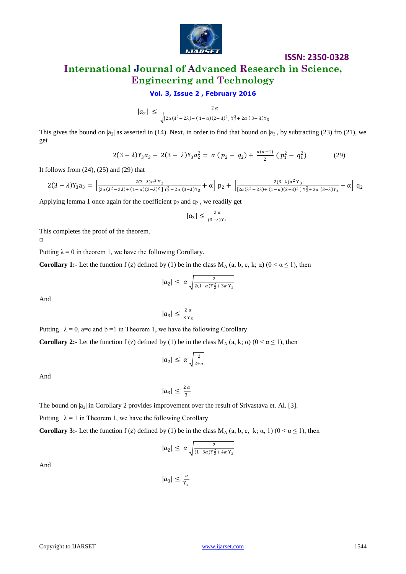

## **International Journal of Advanced Research in Science, Engineering and Technology**

#### **Vol. 3, Issue 2 , February 2016**

$$
|a_2| \leq \frac{2\alpha}{\sqrt{[2\alpha(\lambda^2 - 2\lambda) + (1 - \alpha)(2 - \lambda)^2] \gamma_2^2 + 2\alpha (3 - \lambda)\gamma_3}}
$$

This gives the bound on  $|a_2|$  as asserted in (14). Next, in order to find that bound on  $|a_3|$ , by subtracting (23) fro (21), we get

$$
2(3 - \lambda)Y_3 a_3 - 2(3 - \lambda)Y_3 a_2^2 = \alpha (p_2 - q_2) + \frac{\alpha(\alpha - 1)}{2} (p_1^2 - q_1^2) \tag{29}
$$

It follows from  $(24)$ ,  $(25)$  and  $(29)$  that

$$
2(3-\lambda)Y_3a_3 = \left[\frac{2(3-\lambda)\alpha^2Y_3}{[2\alpha(\lambda^2-2\lambda)+(1-\alpha)(2-\lambda)^2]Y_2^2+2\alpha(3-\lambda)Y_3} + \alpha\right]p_2 + \left[\frac{2(3-\lambda)\alpha^2Y_3}{[2\alpha(\lambda^2-2\lambda)+(1-\alpha)(2-\lambda)^2]Y_2^2+2\alpha(3-\lambda)Y_3} - \alpha\right]q_2
$$

Applying lemma 1 once again for the coefficient  $p_2$  and  $q_2$ , we readily get

$$
|a_3|\leq \tfrac{2\,\alpha}{(3-\lambda)Y_3}
$$

This completes the proof of the theorem.

 $\Box$ 

Putting  $\lambda = 0$  in theorem 1, we have the following Corollary.

**Corollary 1:-** Let the function f (z) defined by (1) be in the class  $M_A$  (a, b, c, k;  $\alpha$ ) ( $0 \le \alpha \le 1$ ), then

$$
|a_2| \leq \alpha \sqrt{\frac{2}{2(1-\alpha)Y_2^2 + 3\alpha Y_3}}
$$

And

$$
|a_3| \leq \frac{2\alpha}{3\,\Upsilon_3}
$$

Putting  $\lambda = 0$ , a=c and b =1 in Theorem 1, we have the following Corollary

**Corollary 2:-** Let the function f (z) defined by (1) be in the class  $M_A$  (a, k;  $\alpha$ ) ( $0 \le \alpha \le 1$ ), then

$$
|a_2| \leq \alpha \sqrt{\frac{2}{2+\alpha}}
$$

And

$$
|a_3| \leq \frac{2\alpha}{3}
$$

The bound on  $|a_3|$  in Corollary 2 provides improvement over the result of Srivastava et. Al. [3].

Putting  $\lambda = 1$  in Theorem 1, we have the following Corollary

**Corollary 3:-** Let the function f (z) defined by (1) be in the class  $M_A$  (a, b, c, k;  $\alpha$ , 1) ( $0 \le \alpha \le 1$ ), then

$$
|a_2| \leq \alpha \sqrt{\frac{2}{(1-3\alpha)Y_2^2 + 4\alpha Y_3}}
$$

And

$$
|a_3|\leq \tfrac{\alpha}{\gamma_3}
$$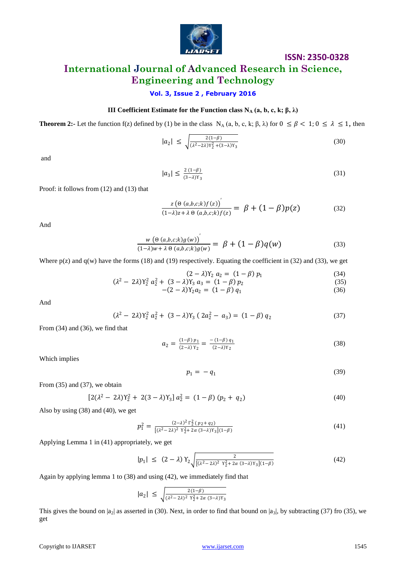

# **International Journal of Advanced Research in Science, Engineering and Technology**

#### **Vol. 3, Issue 2 , February 2016**

#### **III** Coefficient Estimate for the Function class  $N_A$  (a, b, c, k; β, λ)

**Theorem 2:-** Let the function f(z) defined by (1) be in the class N<sub>A</sub> (a, b, c, k;  $\beta$ ,  $\lambda$ ) for  $0 \le \beta < 1$ ;  $0 \le \lambda \le 1$ , then

$$
|a_2| \le \sqrt{\frac{2(1-\beta)}{(\lambda^2 - 2\lambda)Y_2^2 + (3-\lambda)Y_3}}
$$
(30)

and

$$
|a_3| \le \frac{2(1-\beta)}{(3-\lambda)\gamma_3} \tag{31}
$$

Proof: it follows from (12) and (13) that

$$
\frac{z(\Theta(a,b,c;k)f(z))}{(1-\lambda)z+\lambda \Theta(a,b,c;k)f(z)} = \beta + (1-\beta)p(z)
$$
\n(32)

And

$$
\frac{w\left(\Theta\left(a,b,c;k\right)g(w)\right)^{'}}{(1-\lambda)w+\lambda\Theta\left(a,b,c;k\right)g(w)}=\beta+(1-\beta)q(w)\tag{33}
$$

Where  $p(z)$  and  $q(w)$  have the forms (18) and (19) respectively. Equating the coefficient in (32) and (33), we get

$$
(2 - \lambda)Y_2 a_2 = (1 - \beta) p_1
$$
 (34)  
21)Y<sup>2</sup> a<sup>2</sup> + (2 - 1)Y\_2 a\_2 = (1 - \beta) p\_1 (34)

$$
(\lambda^2 - 2\lambda)Y_2^2 a_2^2 + (3 - \lambda)Y_3 a_3 = (1 - \beta) p_2
$$
\n(35)

$$
-(2 - \lambda)Y_2 a_2 = (1 - \beta) q_1 \tag{36}
$$

And

$$
(\lambda^2 - 2\lambda)Y_2^2 a_2^2 + (3 - \lambda)Y_3 (2a_2^2 - a_3) = (1 - \beta) q_2
$$
 (37)

From (34) and (36), we find that

$$
a_2 = \frac{(1-\beta) p_1}{(2-\lambda) Y_2} = \frac{-(1-\beta) q_1}{(2-\lambda) Y_2} \tag{38}
$$

Which implies

$$
p_1 = -q_1 \tag{39}
$$

From (35) and (37), we obtain

$$
[2(\lambda^2 - 2\lambda)Y_2^2 + 2(3 - \lambda)Y_3] a_2^2 = (1 - \beta)(p_2 + q_2)
$$
\n(40)

Also by using (38) and (40), we get

$$
p_1^2 = \frac{(2-\lambda)^2 \Gamma_2^2 (p_2 + q_2)}{[(\lambda^2 - 2\lambda)^2 \ Y_2^2 + 2\alpha (3-\lambda)Y_3](1-\beta)}
$$
(41)

Applying Lemma 1 in (41) appropriately, we get

$$
|p_1| \le (2 - \lambda) \, Y_2 \sqrt{\frac{2}{[(\lambda^2 - 2\lambda)^2 \, Y_2^2 + 2\alpha \, (3 - \lambda) Y_3](1 - \beta)}}
$$
(42)

Again by applying lemma 1 to (38) and using (42), we immediately find that

$$
|a_2| \leq \sqrt{\frac{2(1-\beta)}{(\lambda^2 - 2\lambda)^2 \ Y_2^2 + 2\alpha (3-\lambda)Y_3}}
$$

This gives the bound on  $|a_2|$  as asserted in (30). Next, in order to find that bound on  $|a_3|$ , by subtracting (37) fro (35), we get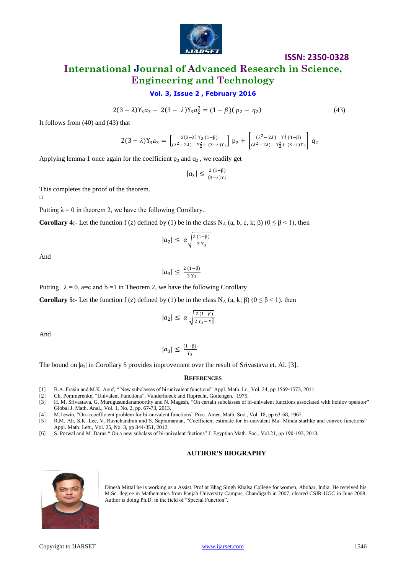

## **International Journal of Advanced Research in Science, Engineering and Technology**

#### **Vol. 3, Issue 2 , February 2016**

$$
2(3 - \lambda)Y_3 a_3 - 2(3 - \lambda)Y_3 a_2^2 = (1 - \beta)(p_2 - q_2)
$$

(43)

It follows from (40) and (43) that

$$
2(3-\lambda)Y_3a_3 = \left[\frac{2(3-\lambda)Y_3(1-\beta)}{(\lambda^2-2\lambda)Y_2^2+(3-\lambda)Y_3}\right]p_2 + \left[\frac{(\lambda^2-2\lambda)Y_2^2(1-\beta)}{(\lambda^2-2\lambda)Y_2^2+(3-\lambda)Y_3}\right]q_2
$$

Applying lemma 1 once again for the coefficient  $p_2$  and  $q_2$ , we readily get

$$
|a_3|\leq \tfrac{2\,(1-\beta)}{(3-\lambda)\Upsilon_3}
$$

This completes the proof of the theorem.

 $\Box$ 

Putting  $\lambda = 0$  in theorem 2, we have the following Corollary.

**Corollary 4:-** Let the function f (z) defined by (1) be in the class N<sub>A</sub> (a, b, c, k;  $\beta$ ) ( $0 \le \beta < 1$ ), then

$$
|a_2| \leq \alpha \sqrt{\frac{2(1-\beta)}{3\,\gamma_3}}
$$

And

$$
|a_3| \leq \frac{2(1-\beta)}{3\,\gamma_3}
$$

Putting  $\lambda = 0$ , a=c and b =1 in Theorem 2, we have the following Corollary

**Corollary 5:-** Let the function f (z) defined by (1) be in the class N<sub>A</sub> (a, k;  $\beta$ ) ( $0 \le \beta < 1$ ), then

$$
|a_2| \leq \alpha \sqrt{\frac{2(1-\beta)}{2\gamma_3 - \gamma_2^2}}
$$

And

$$
|a_3|\leq \tfrac{(1-\beta)}{\gamma_3}
$$

The bound on  $|a_3|$  in Corollary 5 provides improvement over the result of Srivastava et. Al. [3].

#### **REFERENCES**

- [1] B.A. Frasin and M.K. Aouf, " New subclasses of bi-univalent functions" Appl. Math. Lr., Vol. 24, pp 1569-1573, 2011.
- [2] Ch. Pommerenke, "Univalent Functions", Vanderhoeck and Ruprecht, Gottengen. 1975.
- [3] H. M. Srivastava, G. Murugusundaramoorthy and N. Magesh, "On certain subclasses of bi-univalent functions associated with hohlov operator" Global J. Math. Anal., Vol. 1, No. 2, pp. 67-73, 2013.
- [4] M.Lewin, "On a coefficient problem for bi-univalent functions" Proc. Amer. Math. Soc., Vol. 18, pp 63-68, 1967.
- [5] R.M. Ali, S.K. Lee, V. Ravichandran and S. Supramanian, "Coefficient estimate for bi-univalent Ma- Minda starlike and convex functions" Appl. Math. Lett., Vol. 25, No. 3, pp 344-351, 2012.
- [6] S. Porwal and M. Darus " On a new subclass of bi-univalent fnctions" J. Egyptian Math. Soc., Vol.21, pp 190-193, 2013.

#### **AUTHOR'S BIOGRAPHY**



Dinesh Mittal he is working as a Assist. Prof at Bhag Singh Khalsa College for women, Abohar, India. He received his M.Sc. degree in Mathematics from Panjab University Campus, Chandigarh in 2007, cleared CSIR-UGC in June 2008. Author is doing Ph.D. in the field of "Special Function".